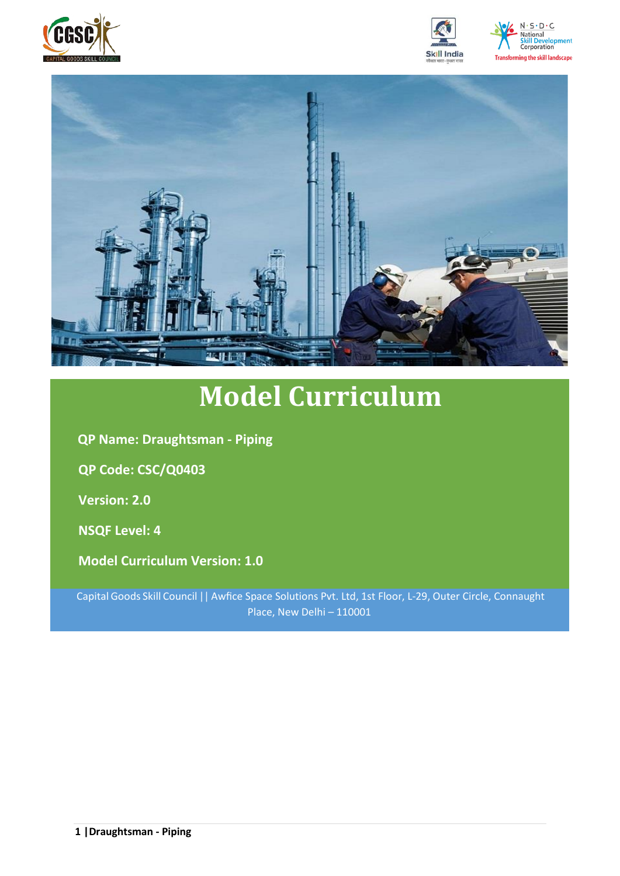







# **Model Curriculum**

**QP Name: Draughtsman - Piping**

**QP Code: CSC/Q0403**

**Version: 2.0**

**NSQF Level: 4**

**Model Curriculum Version: 1.0**

Capital Goods Skill Council || Awfice Space Solutions Pvt. Ltd, 1st Floor, L-29, Outer Circle, Connaught Place, New Delhi – 110001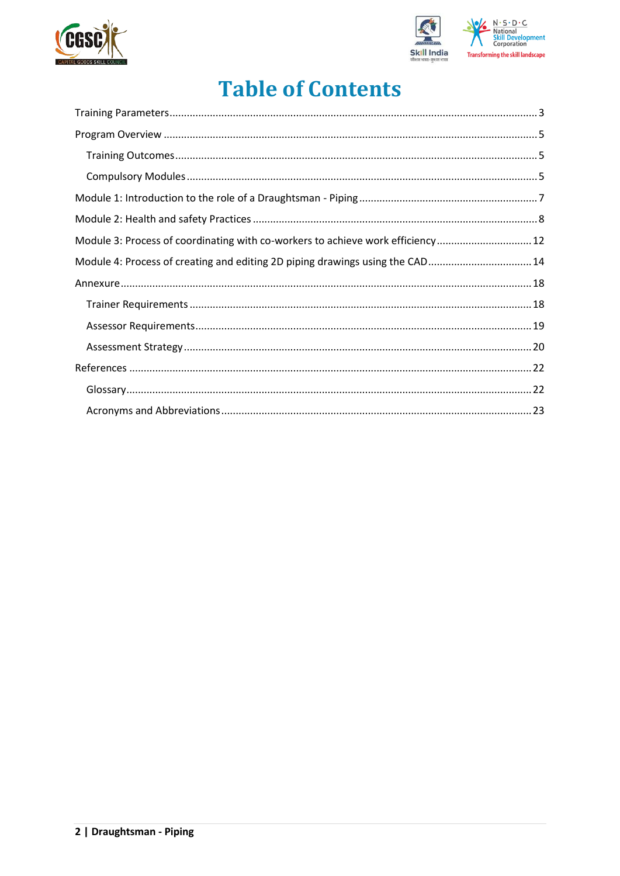



## **Table of Contents**

| Module 3: Process of coordinating with co-workers to achieve work efficiency 12 |  |
|---------------------------------------------------------------------------------|--|
| Module 4: Process of creating and editing 2D piping drawings using the CAD 14   |  |
|                                                                                 |  |
|                                                                                 |  |
|                                                                                 |  |
|                                                                                 |  |
|                                                                                 |  |
|                                                                                 |  |
|                                                                                 |  |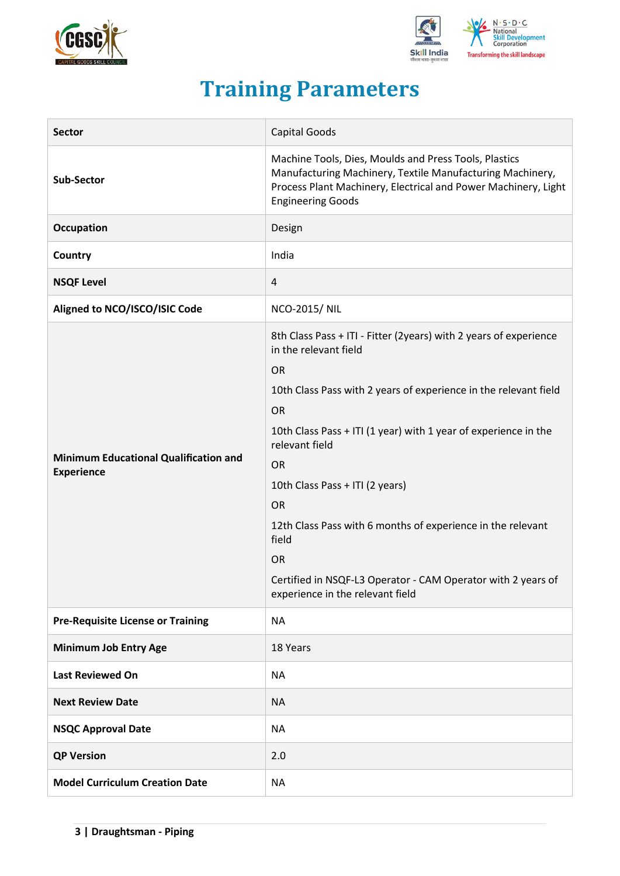



## **Training Parameters**

<span id="page-2-0"></span>

| <b>Sector</b>                                                     | <b>Capital Goods</b>                                                                                                                                                                                                                                                                                                                                                                                                                                                                                                                |  |  |  |
|-------------------------------------------------------------------|-------------------------------------------------------------------------------------------------------------------------------------------------------------------------------------------------------------------------------------------------------------------------------------------------------------------------------------------------------------------------------------------------------------------------------------------------------------------------------------------------------------------------------------|--|--|--|
| <b>Sub-Sector</b>                                                 | Machine Tools, Dies, Moulds and Press Tools, Plastics<br>Manufacturing Machinery, Textile Manufacturing Machinery,<br>Process Plant Machinery, Electrical and Power Machinery, Light<br><b>Engineering Goods</b>                                                                                                                                                                                                                                                                                                                    |  |  |  |
| Occupation                                                        | Design                                                                                                                                                                                                                                                                                                                                                                                                                                                                                                                              |  |  |  |
| <b>Country</b>                                                    | India                                                                                                                                                                                                                                                                                                                                                                                                                                                                                                                               |  |  |  |
| <b>NSQF Level</b>                                                 | 4                                                                                                                                                                                                                                                                                                                                                                                                                                                                                                                                   |  |  |  |
| Aligned to NCO/ISCO/ISIC Code                                     | <b>NCO-2015/ NIL</b>                                                                                                                                                                                                                                                                                                                                                                                                                                                                                                                |  |  |  |
| <b>Minimum Educational Qualification and</b><br><b>Experience</b> | 8th Class Pass + ITI - Fitter (2years) with 2 years of experience<br>in the relevant field<br><b>OR</b><br>10th Class Pass with 2 years of experience in the relevant field<br><b>OR</b><br>10th Class Pass + ITI (1 year) with 1 year of experience in the<br>relevant field<br><b>OR</b><br>10th Class Pass + ITI (2 years)<br><b>OR</b><br>12th Class Pass with 6 months of experience in the relevant<br>field<br><b>OR</b><br>Certified in NSQF-L3 Operator - CAM Operator with 2 years of<br>experience in the relevant field |  |  |  |
| <b>Pre-Requisite License or Training</b>                          | <b>NA</b>                                                                                                                                                                                                                                                                                                                                                                                                                                                                                                                           |  |  |  |
| <b>Minimum Job Entry Age</b>                                      | 18 Years                                                                                                                                                                                                                                                                                                                                                                                                                                                                                                                            |  |  |  |
| <b>Last Reviewed On</b>                                           | <b>NA</b>                                                                                                                                                                                                                                                                                                                                                                                                                                                                                                                           |  |  |  |
| <b>Next Review Date</b>                                           | <b>NA</b>                                                                                                                                                                                                                                                                                                                                                                                                                                                                                                                           |  |  |  |
| <b>NSQC Approval Date</b>                                         | <b>NA</b>                                                                                                                                                                                                                                                                                                                                                                                                                                                                                                                           |  |  |  |
| <b>QP Version</b>                                                 | 2.0                                                                                                                                                                                                                                                                                                                                                                                                                                                                                                                                 |  |  |  |
| <b>Model Curriculum Creation Date</b>                             | <b>NA</b>                                                                                                                                                                                                                                                                                                                                                                                                                                                                                                                           |  |  |  |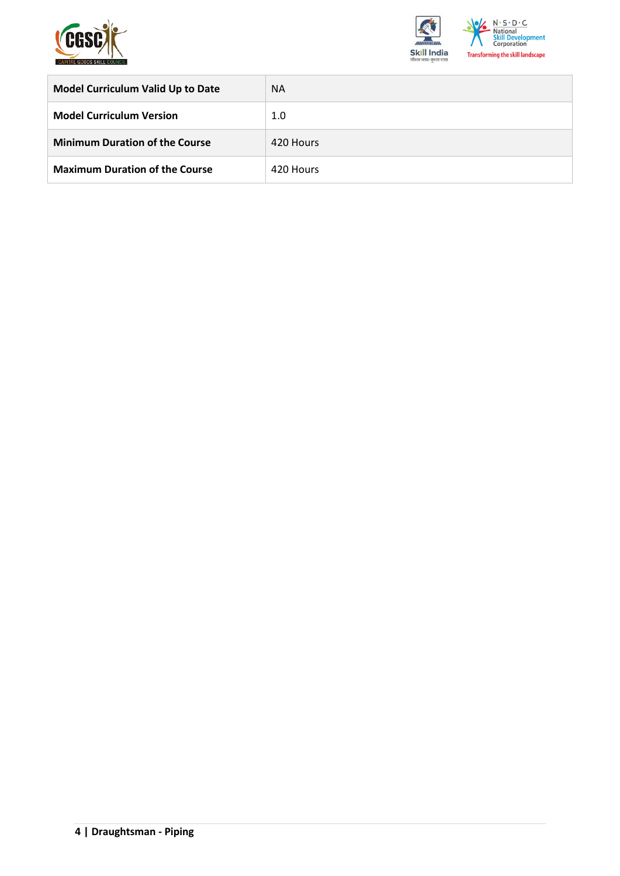



| <b>Model Curriculum Valid Up to Date</b> | <b>NA</b> |
|------------------------------------------|-----------|
| <b>Model Curriculum Version</b>          | 1.0       |
| <b>Minimum Duration of the Course</b>    | 420 Hours |
| <b>Maximum Duration of the Course</b>    | 420 Hours |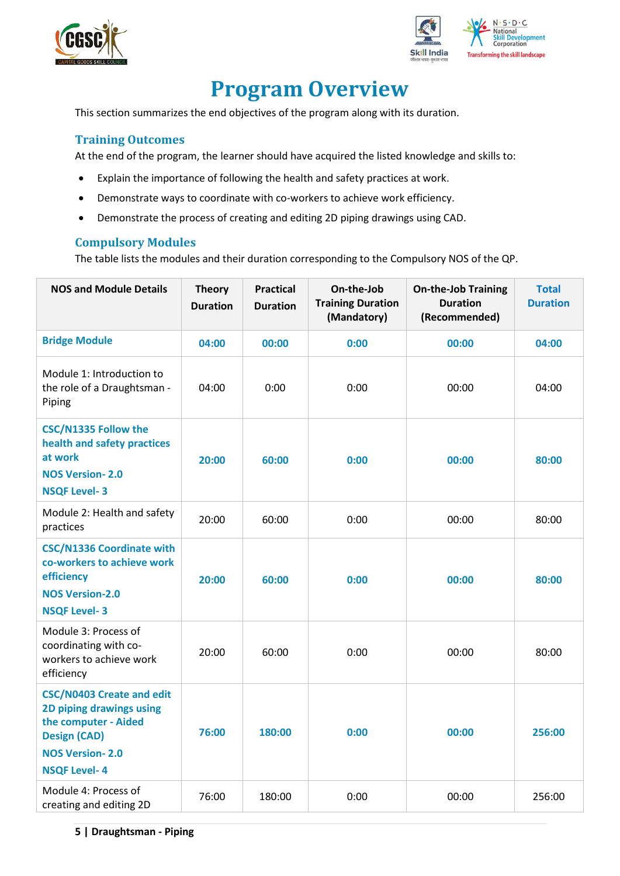



## **Program Overview**

<span id="page-4-0"></span>This section summarizes the end objectives of the program along with its duration.

#### <span id="page-4-1"></span>**Training Outcomes**

At the end of the program, the learner should have acquired the listed knowledge and skills to:

- Explain the importance of following the health and safety practices at work.
- Demonstrate ways to coordinate with co-workers to achieve work efficiency.
- Demonstrate the process of creating and editing 2D piping drawings using CAD.

#### <span id="page-4-2"></span>**Compulsory Modules**

The table lists the modules and their duration corresponding to the Compulsory NOS of the QP.

| <b>NOS and Module Details</b>                                                                                                                                | <b>Theory</b><br><b>Duration</b> | <b>Practical</b><br><b>Duration</b> | On-the-Job<br><b>Training Duration</b><br>(Mandatory) | <b>On-the-Job Training</b><br><b>Duration</b><br>(Recommended) | <b>Total</b><br><b>Duration</b> |
|--------------------------------------------------------------------------------------------------------------------------------------------------------------|----------------------------------|-------------------------------------|-------------------------------------------------------|----------------------------------------------------------------|---------------------------------|
| <b>Bridge Module</b>                                                                                                                                         | 04:00                            | 00:00                               | 0:00                                                  | 00:00                                                          | 04:00                           |
| Module 1: Introduction to<br>the role of a Draughtsman -<br>Piping                                                                                           | 04:00                            | 0:00                                | 0:00                                                  | 00:00                                                          | 04:00                           |
| <b>CSC/N1335 Follow the</b><br>health and safety practices<br>at work<br><b>NOS Version-2.0</b><br><b>NSQF Level-3</b>                                       | 20:00                            | 60:00                               | 0:00                                                  | 00:00                                                          | 80:00                           |
| Module 2: Health and safety<br>practices                                                                                                                     | 20:00                            | 60:00                               | 0:00                                                  | 00:00                                                          | 80:00                           |
| <b>CSC/N1336 Coordinate with</b><br>co-workers to achieve work<br>efficiency<br><b>NOS Version-2.0</b><br><b>NSQF Level-3</b>                                | 20:00                            | 60:00                               | 0:00                                                  | 00:00                                                          | 80:00                           |
| Module 3: Process of<br>coordinating with co-<br>workers to achieve work<br>efficiency                                                                       | 20:00                            | 60:00                               | 0:00                                                  | 00:00                                                          | 80:00                           |
| <b>CSC/N0403 Create and edit</b><br>2D piping drawings using<br>the computer - Aided<br><b>Design (CAD)</b><br><b>NOS Version-2.0</b><br><b>NSQF Level-4</b> | 76:00                            | 180:00                              | 0:00                                                  | 00:00                                                          | 256:00                          |
| Module 4: Process of<br>creating and editing 2D                                                                                                              | 76:00                            | 180:00                              | 0:00                                                  | 00:00                                                          | 256:00                          |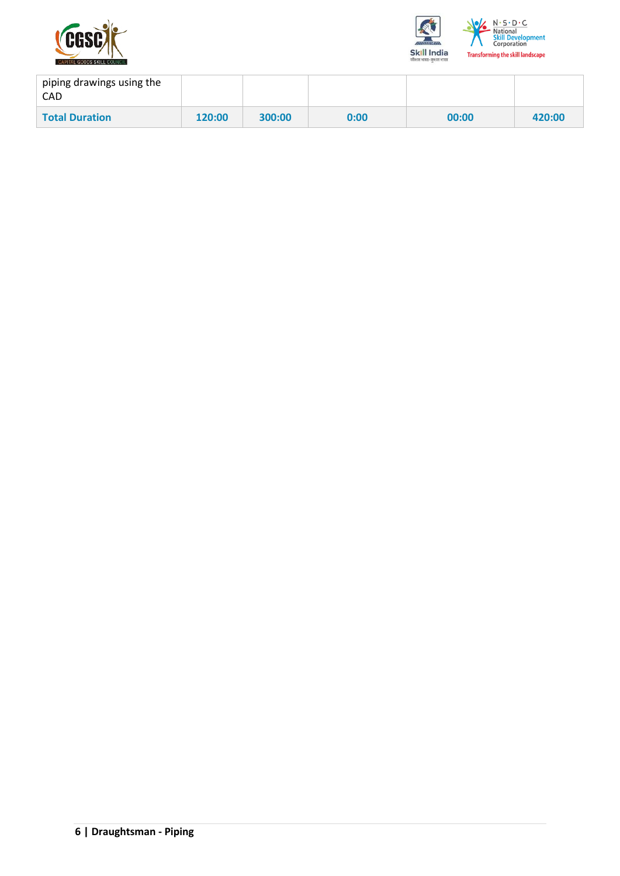



| piping drawings using the<br><b>CAD</b> |        |        |      |       |        |
|-----------------------------------------|--------|--------|------|-------|--------|
| <b>Total Duration</b>                   | 120:00 | 300:00 | 0:00 | 00:00 | 420:00 |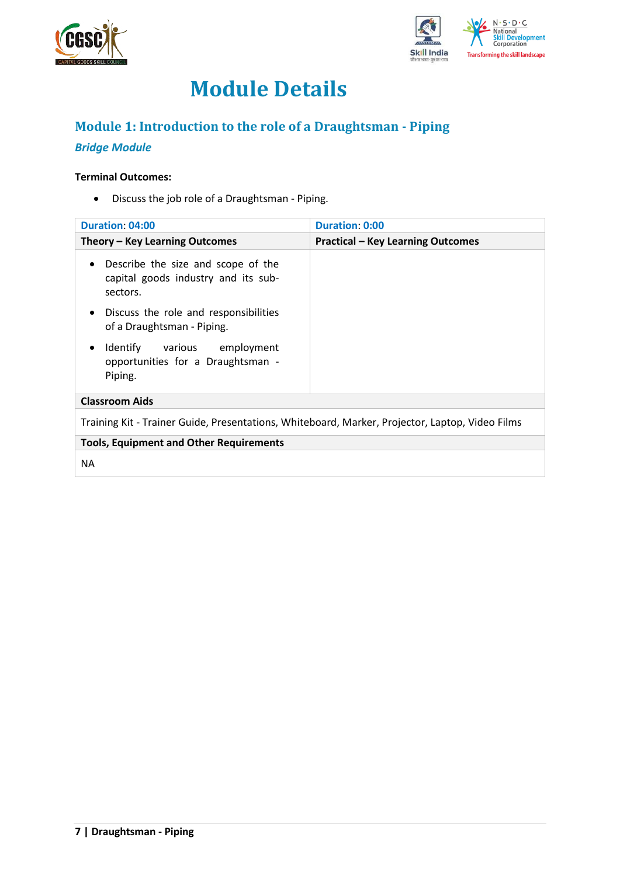



## **Module Details**

## <span id="page-6-0"></span>**Module 1: Introduction to the role of a Draughtsman - Piping**

### *Bridge Module*

#### **Terminal Outcomes:**

• Discuss the job role of a Draughtsman - Piping.

| <b>Duration: 04:00</b>                                                                             | <b>Duration: 0:00</b>                    |  |  |  |  |
|----------------------------------------------------------------------------------------------------|------------------------------------------|--|--|--|--|
| Theory – Key Learning Outcomes                                                                     | <b>Practical - Key Learning Outcomes</b> |  |  |  |  |
| Describe the size and scope of the<br>$\bullet$<br>capital goods industry and its sub-<br>sectors. |                                          |  |  |  |  |
| Discuss the role and responsibilities<br>$\bullet$<br>of a Draughtsman - Piping.                   |                                          |  |  |  |  |
| Identify various employment<br>opportunities for a Draughtsman -<br>Piping.                        |                                          |  |  |  |  |
| <b>Classroom Aids</b>                                                                              |                                          |  |  |  |  |
| Training Kit - Trainer Guide, Presentations, Whiteboard, Marker, Projector, Laptop, Video Films    |                                          |  |  |  |  |
| <b>Tools, Equipment and Other Requirements</b>                                                     |                                          |  |  |  |  |
| ΝA                                                                                                 |                                          |  |  |  |  |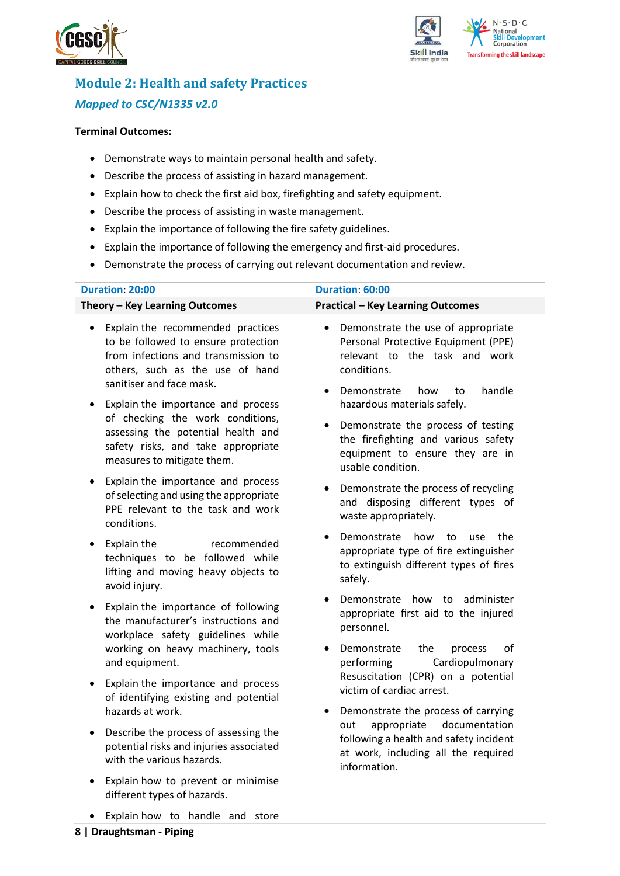



### <span id="page-7-0"></span>**Module 2: Health and safety Practices** *Mapped to CSC/N1335 v2.0*

#### **Terminal Outcomes:**

- Demonstrate ways to maintain personal health and safety.
- Describe the process of assisting in hazard management.
- Explain how to check the first aid box, firefighting and safety equipment.
- Describe the process of assisting in waste management.
- Explain the importance of following the fire safety guidelines.
- Explain the importance of following the emergency and first-aid procedures.
- Demonstrate the process of carrying out relevant documentation and review.

| <b>Duration: 20:00</b>                                                                                                                                                                      | Duration: 60:00                                                                                                                                                               |  |  |
|---------------------------------------------------------------------------------------------------------------------------------------------------------------------------------------------|-------------------------------------------------------------------------------------------------------------------------------------------------------------------------------|--|--|
| Theory - Key Learning Outcomes                                                                                                                                                              | <b>Practical - Key Learning Outcomes</b>                                                                                                                                      |  |  |
| Explain the recommended practices<br>$\bullet$<br>to be followed to ensure protection<br>from infections and transmission to<br>others, such as the use of hand<br>sanitiser and face mask. | Demonstrate the use of appropriate<br>$\bullet$<br>Personal Protective Equipment (PPE)<br>relevant to the task and work<br>conditions.<br>Demonstrate<br>handle<br>how<br>to  |  |  |
| Explain the importance and process<br>of checking the work conditions,<br>assessing the potential health and<br>safety risks, and take appropriate<br>measures to mitigate them.            | hazardous materials safely.<br>Demonstrate the process of testing<br>$\bullet$<br>the firefighting and various safety<br>equipment to ensure they are in<br>usable condition. |  |  |
| Explain the importance and process<br>of selecting and using the appropriate<br>PPE relevant to the task and work<br>conditions.                                                            | Demonstrate the process of recycling<br>and disposing different types of<br>waste appropriately.                                                                              |  |  |
| Explain the<br>recommended<br>techniques to be followed while<br>lifting and moving heavy objects to<br>avoid injury.                                                                       | Demonstrate<br>how<br>to<br>use<br>the<br>appropriate type of fire extinguisher<br>to extinguish different types of fires<br>safely.                                          |  |  |
| Explain the importance of following<br>the manufacturer's instructions and<br>workplace safety guidelines while<br>working on heavy machinery, tools                                        | administer<br>Demonstrate how<br>to<br>appropriate first aid to the injured<br>personnel.<br>Demonstrate<br>the<br>οf<br>process                                              |  |  |
| and equipment.<br>Explain the importance and process<br>of identifying existing and potential<br>hazards at work.                                                                           | Cardiopulmonary<br>performing<br>Resuscitation (CPR) on a potential<br>victim of cardiac arrest.<br>Demonstrate the process of carrying                                       |  |  |
| Describe the process of assessing the<br>potential risks and injuries associated<br>with the various hazards.                                                                               | appropriate<br>documentation<br>out<br>following a health and safety incident<br>at work, including all the required<br>information.                                          |  |  |
| Explain how to prevent or minimise<br>different types of hazards.                                                                                                                           |                                                                                                                                                                               |  |  |
| Explain how to handle and store                                                                                                                                                             |                                                                                                                                                                               |  |  |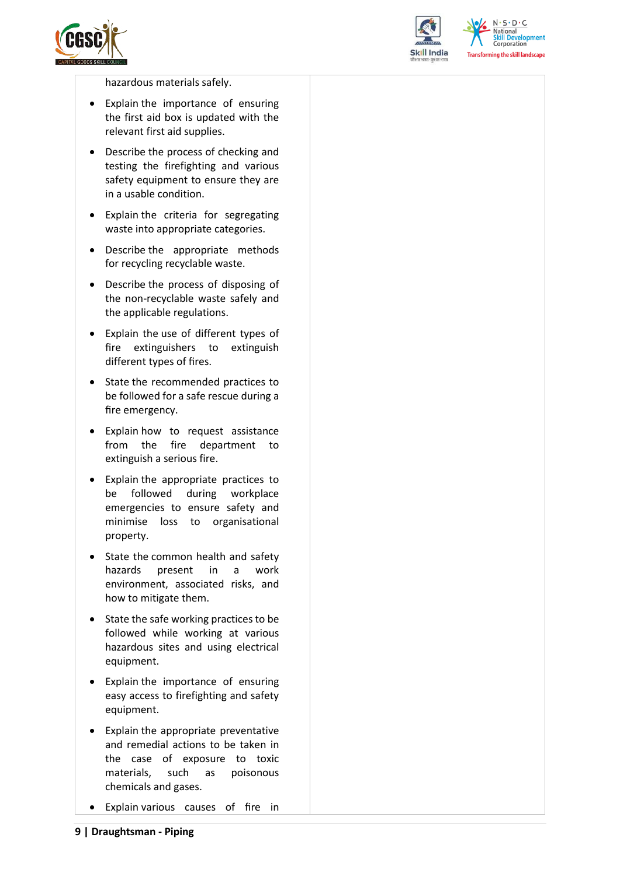



 $N.5.0.6$ **National** relopment **Corporation Transforming the skill landscape** 

hazardous materials safely.

- Explain the importance of ensuring the first aid box is updated with the relevant first aid supplies.
- Describe the process of checking and testing the firefighting and various safety equipment to ensure they are in a usable condition.
- Explain the criteria for segregating waste into appropriate categories.
- Describe the appropriate methods for recycling recyclable waste.
- Describe the process of disposing of the non-recyclable waste safely and the applicable regulations.
- Explain the use of different types of fire extinguishers to extinguish different types of fires.
- State the recommended practices to be followed for a safe rescue during a fire emergency.
- Explain how to request assistance from the fire department to extinguish a serious fire.
- Explain the appropriate practices to be followed during workplace emergencies to ensure safety and minimise loss to organisational property.
- State the common health and safety hazards present in a work environment, associated risks, and how to mitigate them.
- State the safe working practices to be followed while working at various hazardous sites and using electrical equipment.
- Explain the importance of ensuring easy access to firefighting and safety equipment.
- Explain the appropriate preventative and remedial actions to be taken in the case of exposure to toxic materials, such as poisonous chemicals and gases.
- Explain various causes of fire in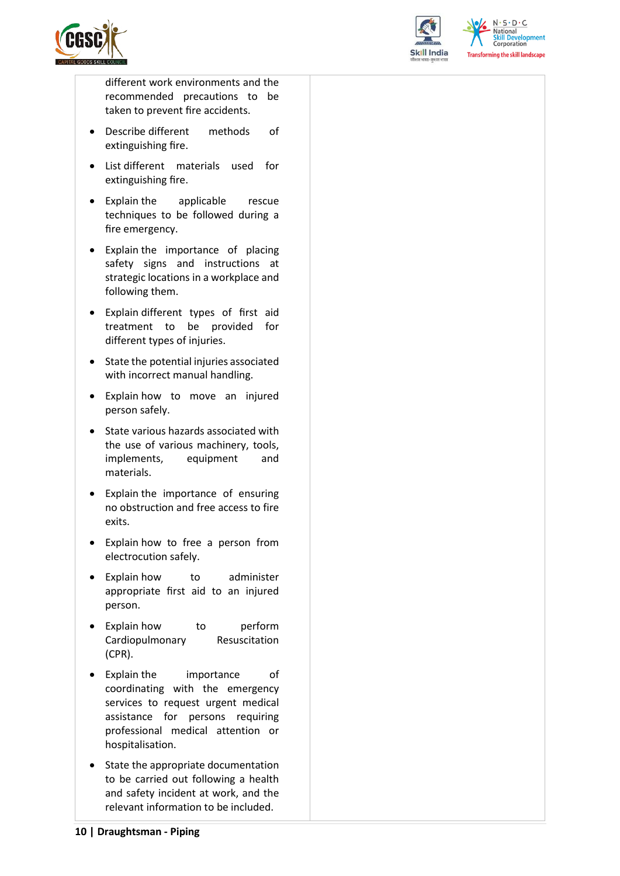



 $N \cdot S \cdot D \cdot C$ **National Skill Development**<br>Corporation **Transforming the skill landscape** 

different work environments and the recommended precautions to be taken to prevent fire accidents.

- Describe different methods of extinguishing fire.
- List different materials used for extinguishing fire.
- Explain the applicable rescue techniques to be followed during a fire emergency.
- Explain the importance of placing safety signs and instructions at strategic locations in a workplace and following them.
- Explain different types of first aid treatment to be provided for different types of injuries.
- State the potential injuries associated with incorrect manual handling.
- Explain how to move an injured person safely.
- State various hazards associated with the use of various machinery, tools, implements, equipment and materials.
- Explain the importance of ensuring no obstruction and free access to fire exits.
- Explain how to free a person from electrocution safely.
- Explain how to administer appropriate first aid to an injured person.
- Explain how to perform Cardiopulmonary Resuscitation (CPR).
- Explain the importance of coordinating with the emergency services to request urgent medical assistance for persons requiring professional medical attention or hospitalisation.
- State the appropriate documentation to be carried out following a health and safety incident at work, and the relevant information to be included.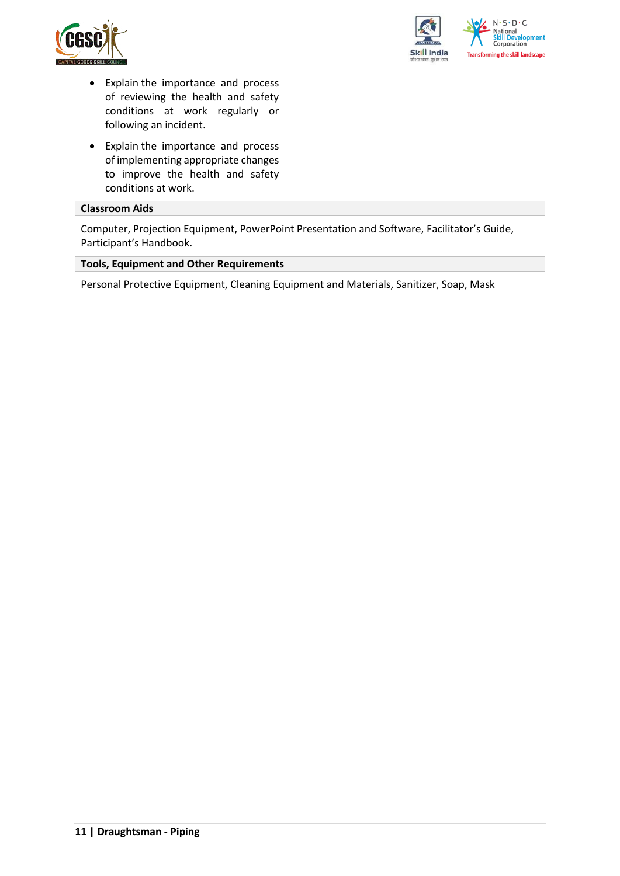



- Explain the importance and process of reviewing the health and safety conditions at work regularly or following an incident.
- Explain the importance and process of implementing appropriate changes to improve the health and safety conditions at work.

#### **Classroom Aids**

Computer, Projection Equipment, PowerPoint Presentation and Software, Facilitator's Guide, Participant's Handbook.

#### **Tools, Equipment and Other Requirements**

Personal Protective Equipment, Cleaning Equipment and Materials, Sanitizer, Soap, Mask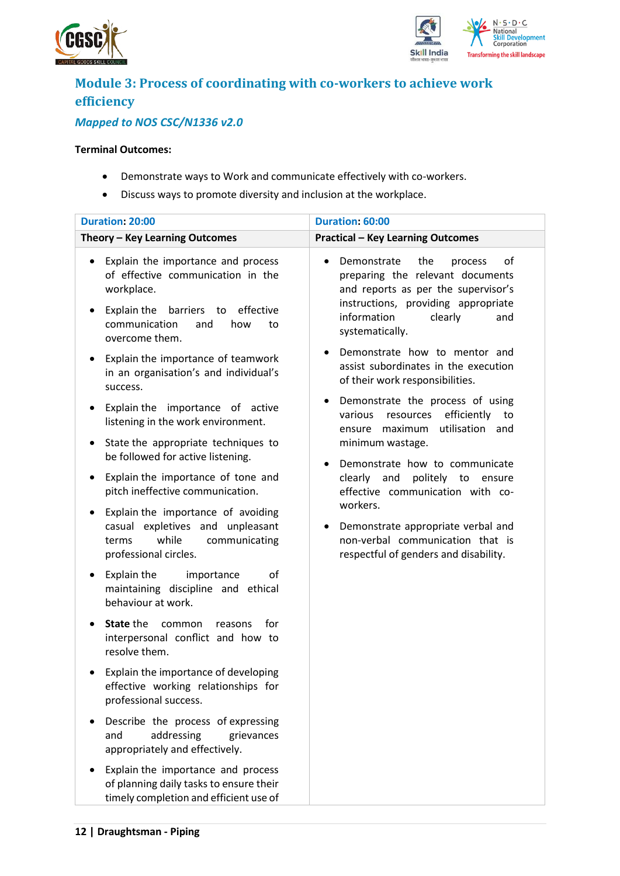



## <span id="page-11-0"></span>**Module 3: Process of coordinating with co-workers to achieve work efficiency**

### *Mapped to NOS CSC/N1336 v2.0*

#### **Terminal Outcomes:**

- Demonstrate ways to Work and communicate effectively with co-workers.
- Discuss ways to promote diversity and inclusion at the workplace.

| <b>Duration: 20:00</b>                                                                                                                                                                                 | Duration: 60:00                                                                                                                                                                                                                            |  |  |
|--------------------------------------------------------------------------------------------------------------------------------------------------------------------------------------------------------|--------------------------------------------------------------------------------------------------------------------------------------------------------------------------------------------------------------------------------------------|--|--|
| Theory - Key Learning Outcomes                                                                                                                                                                         | <b>Practical - Key Learning Outcomes</b>                                                                                                                                                                                                   |  |  |
| Explain the importance and process<br>$\bullet$<br>of effective communication in the<br>workplace.<br>Explain the<br>barriers to effective<br>٠<br>communication<br>and<br>how<br>to<br>overcome them. | Demonstrate<br>the<br>of<br>process<br>preparing the relevant documents<br>and reports as per the supervisor's<br>instructions, providing appropriate<br>information<br>clearly<br>and<br>systematically.<br>Demonstrate how to mentor and |  |  |
| Explain the importance of teamwork<br>$\bullet$<br>in an organisation's and individual's<br>success.                                                                                                   | assist subordinates in the execution<br>of their work responsibilities.                                                                                                                                                                    |  |  |
| Explain the importance of active<br>٠<br>listening in the work environment.                                                                                                                            | Demonstrate the process of using<br>efficiently<br>various<br>resources<br>to<br>utilisation and<br>ensure maximum                                                                                                                         |  |  |
| State the appropriate techniques to<br>$\bullet$<br>be followed for active listening.                                                                                                                  | minimum wastage.<br>Demonstrate how to communicate                                                                                                                                                                                         |  |  |
| Explain the importance of tone and<br>$\bullet$<br>pitch ineffective communication.                                                                                                                    | clearly<br>and<br>politely to<br>ensure<br>effective communication with co-                                                                                                                                                                |  |  |
| Explain the importance of avoiding<br>٠<br>casual expletives and unpleasant<br>while<br>communicating<br>terms<br>professional circles.                                                                | workers.<br>Demonstrate appropriate verbal and<br>non-verbal communication that is<br>respectful of genders and disability.                                                                                                                |  |  |
| Explain the<br>οf<br>importance<br>٠<br>maintaining discipline and ethical<br>behaviour at work.                                                                                                       |                                                                                                                                                                                                                                            |  |  |
| State the<br>for<br>common<br>reasons<br>$\bullet$<br>interpersonal conflict and how to<br>resolve them.                                                                                               |                                                                                                                                                                                                                                            |  |  |
| Explain the importance of developing<br>effective working relationships for<br>professional success.                                                                                                   |                                                                                                                                                                                                                                            |  |  |
| Describe the process of expressing<br>addressing<br>and<br>grievances<br>appropriately and effectively.                                                                                                |                                                                                                                                                                                                                                            |  |  |
| Explain the importance and process<br>of planning daily tasks to ensure their<br>timely completion and efficient use of                                                                                |                                                                                                                                                                                                                                            |  |  |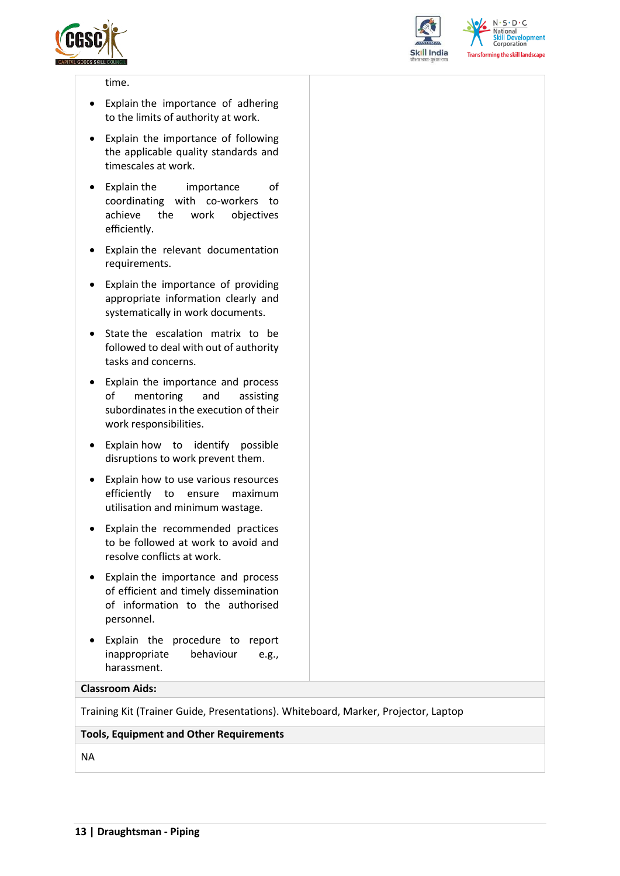



 $N.5.0.6$ **National Skill Development**<br>Corporation **Transforming the skill landscape** 

#### time.

- Explain the importance of adhering to the limits of authority at work.
- Explain the importance of following the applicable quality standards and timescales at work.
- Explain the importance of coordinating with co-workers to achieve the work objectives efficiently.
- Explain the relevant documentation requirements.
- Explain the importance of providing appropriate information clearly and systematically in work documents.
- State the escalation matrix to be followed to deal with out of authority tasks and concerns.
- Explain the importance and process of mentoring and assisting subordinates in the execution of their work responsibilities.
- Explain how to identify possible disruptions to work prevent them.
- Explain how to use various resources efficiently to ensure maximum utilisation and minimum wastage.
- Explain the recommended practices to be followed at work to avoid and resolve conflicts at work.
- Explain the importance and process of efficient and timely dissemination of information to the authorised personnel.
- Explain the procedure to report inappropriate behaviour e.g., harassment.

#### **Classroom Aids:**

Training Kit (Trainer Guide, Presentations). Whiteboard, Marker, Projector, Laptop

#### **Tools, Equipment and Other Requirements**

NA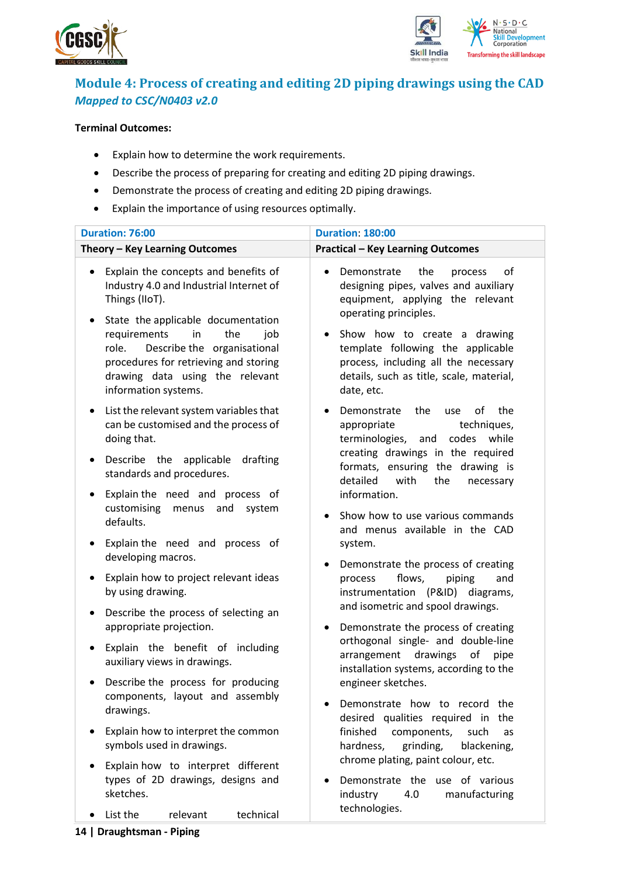



### <span id="page-13-0"></span>**Module 4: Process of creating and editing 2D piping drawings using the CAD** *Mapped to CSC/N0403 v2.0*

#### **Terminal Outcomes:**

- Explain how to determine the work requirements.
- Describe the process of preparing for creating and editing 2D piping drawings.
- Demonstrate the process of creating and editing 2D piping drawings.
- Explain the importance of using resources optimally.

| <b>Duration: 76:00</b>                                                                                                                                                                                                                                                                                                                    | <b>Duration: 180:00</b>                                                                                                                                                                                                                                                                                                            |
|-------------------------------------------------------------------------------------------------------------------------------------------------------------------------------------------------------------------------------------------------------------------------------------------------------------------------------------------|------------------------------------------------------------------------------------------------------------------------------------------------------------------------------------------------------------------------------------------------------------------------------------------------------------------------------------|
| Theory - Key Learning Outcomes                                                                                                                                                                                                                                                                                                            | <b>Practical - Key Learning Outcomes</b>                                                                                                                                                                                                                                                                                           |
| Explain the concepts and benefits of<br>$\bullet$<br>Industry 4.0 and Industrial Internet of<br>Things (IIoT).<br>State the applicable documentation<br>٠<br>requirements<br>in<br>the<br>job<br>Describe the organisational<br>role.<br>procedures for retrieving and storing<br>drawing data using the relevant<br>information systems. | Demonstrate<br>the<br>of<br>process<br>$\bullet$<br>designing pipes, valves and auxiliary<br>equipment, applying the relevant<br>operating principles.<br>Show how to create a drawing<br>٠<br>template following the applicable<br>process, including all the necessary<br>details, such as title, scale, material,<br>date, etc. |
| List the relevant system variables that<br>٠<br>can be customised and the process of<br>doing that.                                                                                                                                                                                                                                       | the<br>of<br>the<br>Demonstrate<br>use<br>$\bullet$<br>appropriate<br>techniques,<br>terminologies, and codes while                                                                                                                                                                                                                |
| Describe the applicable<br>drafting<br>٠<br>standards and procedures.                                                                                                                                                                                                                                                                     | creating drawings in the required<br>formats, ensuring the drawing is<br>detailed<br>with<br>the<br>necessary                                                                                                                                                                                                                      |
| Explain the need and process of<br>$\bullet$<br>customising<br>menus<br>and<br>system<br>defaults.<br>Explain the need and process of<br>$\bullet$                                                                                                                                                                                        | information.<br>Show how to use various commands<br>$\bullet$<br>and menus available in the CAD<br>system.                                                                                                                                                                                                                         |
| developing macros.<br>Explain how to project relevant ideas<br>٠<br>by using drawing.                                                                                                                                                                                                                                                     | Demonstrate the process of creating<br>٠<br>flows,<br>process<br>piping<br>and<br>instrumentation (P&ID) diagrams,<br>and isometric and spool drawings.                                                                                                                                                                            |
| Describe the process of selecting an<br>٠<br>appropriate projection.                                                                                                                                                                                                                                                                      | Demonstrate the process of creating<br>٠<br>orthogonal single- and double-line                                                                                                                                                                                                                                                     |
| Explain the benefit of including<br>$\bullet$<br>auxiliary views in drawings.                                                                                                                                                                                                                                                             | drawings<br>arrangement<br>of<br>pipe<br>installation systems, according to the                                                                                                                                                                                                                                                    |
| Describe the process for producing<br>$\bullet$<br>components, layout and assembly<br>drawings.                                                                                                                                                                                                                                           | engineer sketches.<br>Demonstrate how to record<br>the<br>desired qualities required in the                                                                                                                                                                                                                                        |
| Explain how to interpret the common<br>$\bullet$<br>symbols used in drawings.                                                                                                                                                                                                                                                             | finished<br>components,<br>such<br>as<br>hardness,<br>grinding,<br>blackening,<br>chrome plating, paint colour, etc.                                                                                                                                                                                                               |
| Explain how to interpret different<br>types of 2D drawings, designs and<br>sketches.                                                                                                                                                                                                                                                      | Demonstrate the use of various<br>industry<br>4.0<br>manufacturing                                                                                                                                                                                                                                                                 |
| list the unlocated technical                                                                                                                                                                                                                                                                                                              | technologies.                                                                                                                                                                                                                                                                                                                      |

• List the relevant technical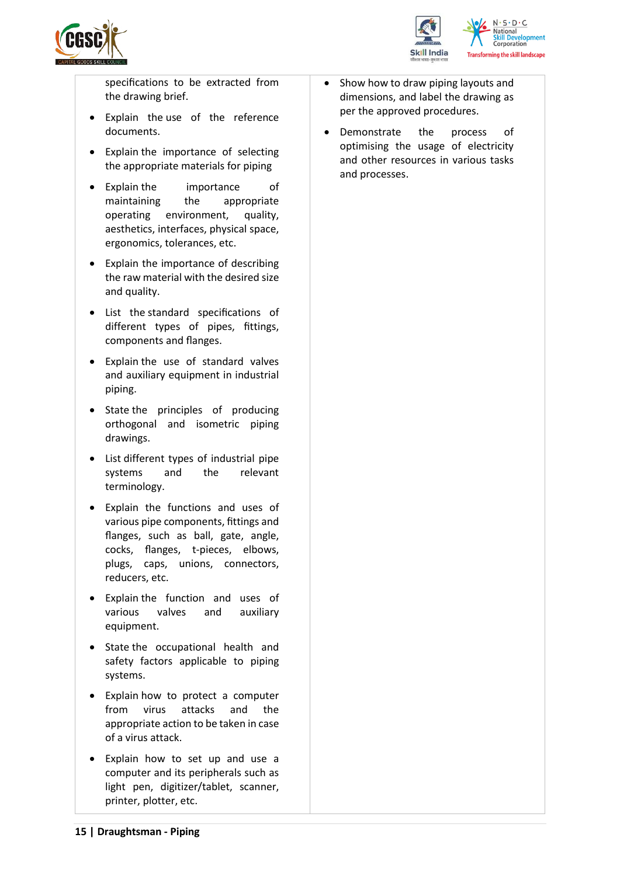



specifications to be extracted from the drawing brief.

- Explain the use of the reference documents.
- Explain the importance of selecting the appropriate materials for piping
- Explain the importance of maintaining the appropriate operating environment, quality, aesthetics, interfaces, physical space, ergonomics, tolerances, etc.
- Explain the importance of describing the raw material with the desired size and quality.
- List the standard specifications of different types of pipes, fittings, components and flanges.
- Explain the use of standard valves and auxiliary equipment in industrial piping.
- State the principles of producing orthogonal and isometric piping drawings.
- List different types of industrial pipe systems and the relevant terminology.
- Explain the functions and uses of various pipe components, fittings and flanges, such as ball, gate, angle, cocks, flanges, t-pieces, elbows, plugs, caps, unions, connectors, reducers, etc.
- Explain the function and uses of various valves and auxiliary equipment.
- State the occupational health and safety factors applicable to piping systems.
- Explain how to protect a computer from virus attacks and the appropriate action to be taken in case of a virus attack.
- Explain how to set up and use a computer and its peripherals such as light pen, digitizer/tablet, scanner, printer, plotter, etc.
- Show how to draw piping layouts and dimensions, and label the drawing as per the approved procedures.
- Demonstrate the process of optimising the usage of electricity and other resources in various tasks and processes.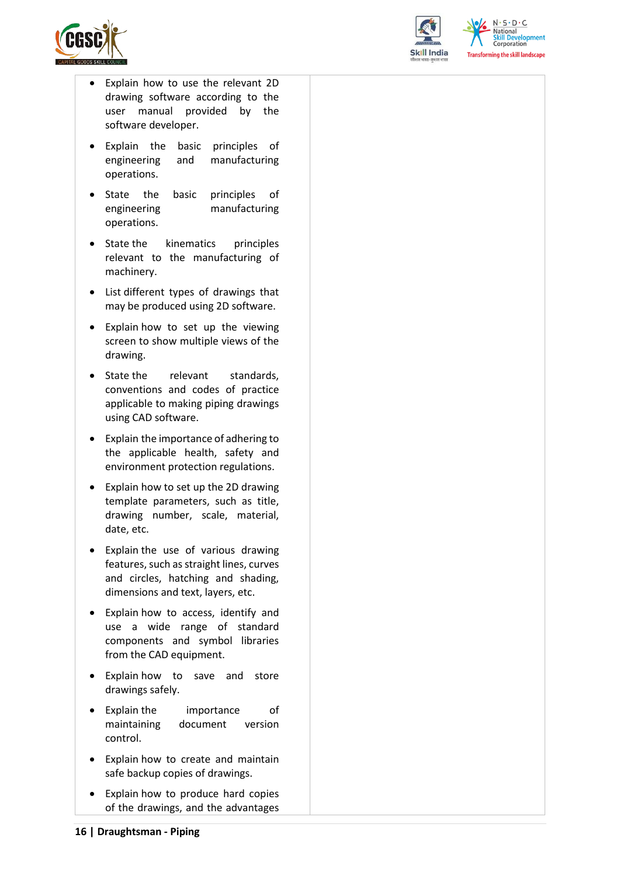



 $N \cdot S \cdot D \cdot C$ **National Skill Development**<br>Corporation **Transforming the skill landscape** 

- Explain how to use the relevant 2D drawing software according to the user manual provided by the software developer.
- Explain the basic principles of engineering and manufacturing operations.
- State the basic principles of engineering manufacturing operations.
- State the kinematics principles relevant to the manufacturing of machinery.
- List different types of drawings that may be produced using 2D software.
- Explain how to set up the viewing screen to show multiple views of the drawing.
- State the relevant standards. conventions and codes of practice applicable to making piping drawings using CAD software.
- Explain the importance of adhering to the applicable health, safety and environment protection regulations.
- Explain how to set up the 2D drawing template parameters, such as title, drawing number, scale, material, date, etc.
- Explain the use of various drawing features, such as straight lines, curves and circles, hatching and shading, dimensions and text, layers, etc.
- Explain how to access, identify and use a wide range of standard components and symbol libraries from the CAD equipment.
- Explain how to save and store drawings safely.
- Explain the importance of maintaining document version control.
- Explain how to create and maintain safe backup copies of drawings.
- Explain how to produce hard copies of the drawings, and the advantages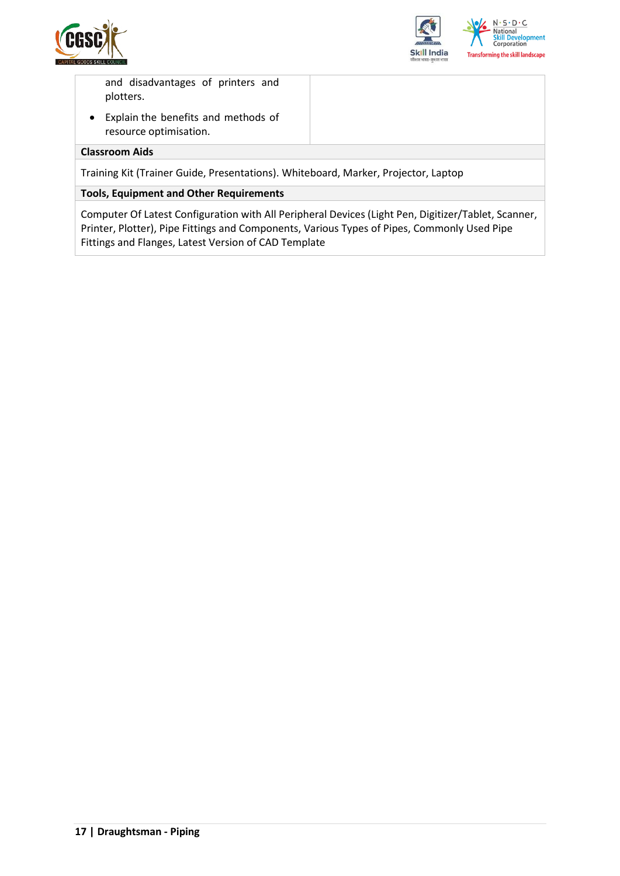



and disadvantages of printers and plotters.

• Explain the benefits and methods of resource optimisation.

#### **Classroom Aids**

Training Kit (Trainer Guide, Presentations). Whiteboard, Marker, Projector, Laptop

#### **Tools, Equipment and Other Requirements**

Computer Of Latest Configuration with All Peripheral Devices (Light Pen, Digitizer/Tablet, Scanner, Printer, Plotter), Pipe Fittings and Components, Various Types of Pipes, Commonly Used Pipe Fittings and Flanges, Latest Version of CAD Template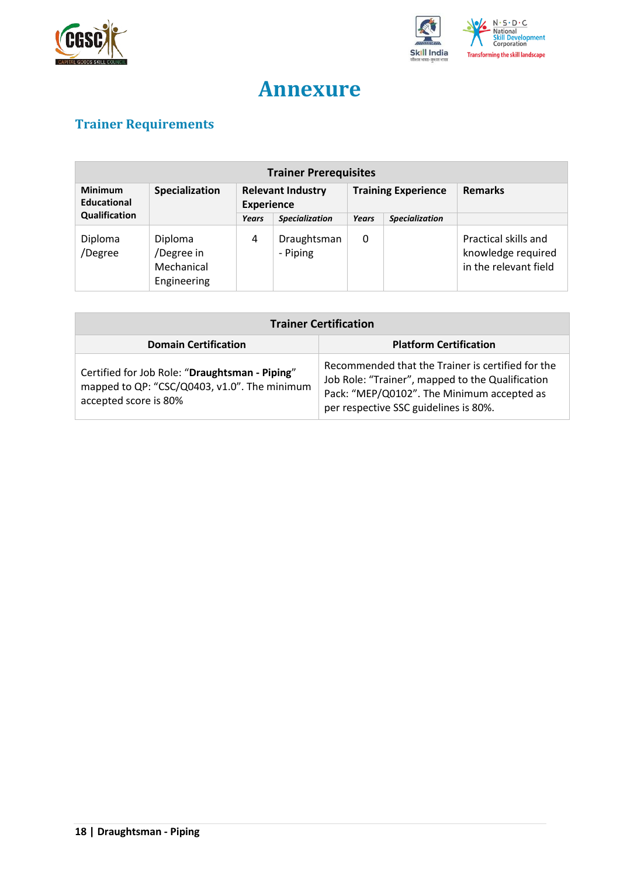



## **Annexure**

## <span id="page-17-1"></span><span id="page-17-0"></span>**Trainer Requirements**

| <b>Trainer Prerequisites</b>         |                                                    |                                               |                         |                            |                       |                                                                     |  |
|--------------------------------------|----------------------------------------------------|-----------------------------------------------|-------------------------|----------------------------|-----------------------|---------------------------------------------------------------------|--|
| <b>Minimum</b><br><b>Educational</b> | Specialization                                     | <b>Relevant Industry</b><br><b>Experience</b> |                         | <b>Training Experience</b> |                       | <b>Remarks</b>                                                      |  |
| Qualification                        |                                                    | Years                                         | <b>Specialization</b>   | Years                      | <b>Specialization</b> |                                                                     |  |
| Diploma<br>/Degree                   | Diploma<br>/Degree in<br>Mechanical<br>Engineering | 4                                             | Draughtsman<br>- Piping | 0                          |                       | Practical skills and<br>knowledge required<br>in the relevant field |  |

| <b>Trainer Certification</b>                                                                                            |                                                                                                                                                                                              |  |  |  |  |
|-------------------------------------------------------------------------------------------------------------------------|----------------------------------------------------------------------------------------------------------------------------------------------------------------------------------------------|--|--|--|--|
| <b>Domain Certification</b>                                                                                             | <b>Platform Certification</b>                                                                                                                                                                |  |  |  |  |
| Certified for Job Role: "Draughtsman - Piping"<br>mapped to QP: "CSC/Q0403, v1.0". The minimum<br>accepted score is 80% | Recommended that the Trainer is certified for the<br>Job Role: "Trainer", mapped to the Qualification<br>Pack: "MEP/Q0102". The Minimum accepted as<br>per respective SSC guidelines is 80%. |  |  |  |  |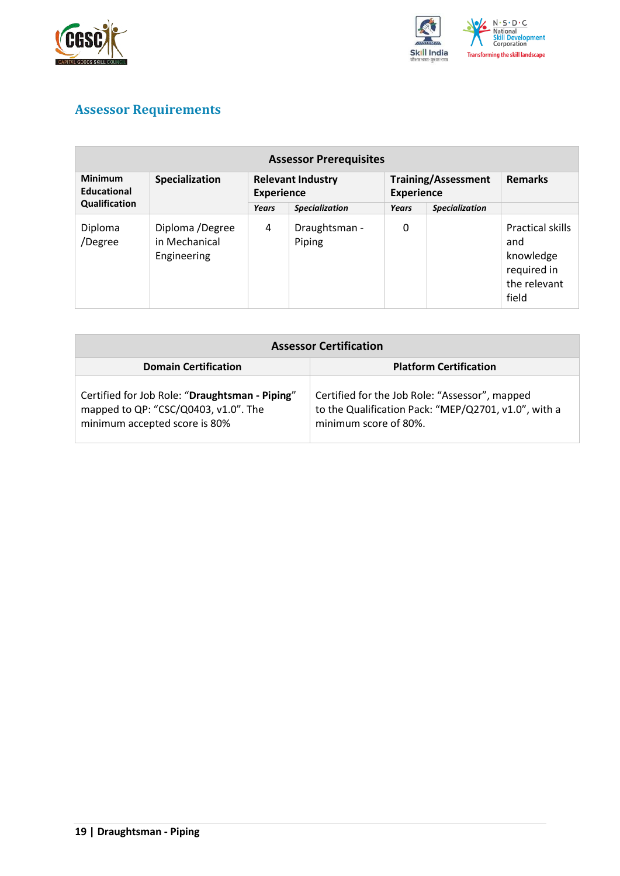



### <span id="page-18-0"></span>**Assessor Requirements**

| <b>Assessor Prerequisites</b>        |                                                 |                                               |                         |                                                 |                       |                                                                              |
|--------------------------------------|-------------------------------------------------|-----------------------------------------------|-------------------------|-------------------------------------------------|-----------------------|------------------------------------------------------------------------------|
| <b>Minimum</b><br><b>Educational</b> | Specialization                                  | <b>Relevant Industry</b><br><b>Experience</b> |                         | <b>Training/Assessment</b><br><b>Experience</b> |                       | <b>Remarks</b>                                                               |
| Qualification                        |                                                 | Years                                         | <b>Specialization</b>   | Years                                           | <b>Specialization</b> |                                                                              |
| Diploma<br>/Degree                   | Diploma /Degree<br>in Mechanical<br>Engineering | 4                                             | Draughtsman -<br>Piping | 0                                               |                       | Practical skills<br>and<br>knowledge<br>required in<br>the relevant<br>field |

| <b>Assessor Certification</b>                                                                                           |                                                                                                                                 |
|-------------------------------------------------------------------------------------------------------------------------|---------------------------------------------------------------------------------------------------------------------------------|
| <b>Domain Certification</b>                                                                                             | <b>Platform Certification</b>                                                                                                   |
| Certified for Job Role: "Draughtsman - Piping"<br>mapped to QP: "CSC/Q0403, v1.0". The<br>minimum accepted score is 80% | Certified for the Job Role: "Assessor", mapped<br>to the Qualification Pack: "MEP/Q2701, v1.0", with a<br>minimum score of 80%. |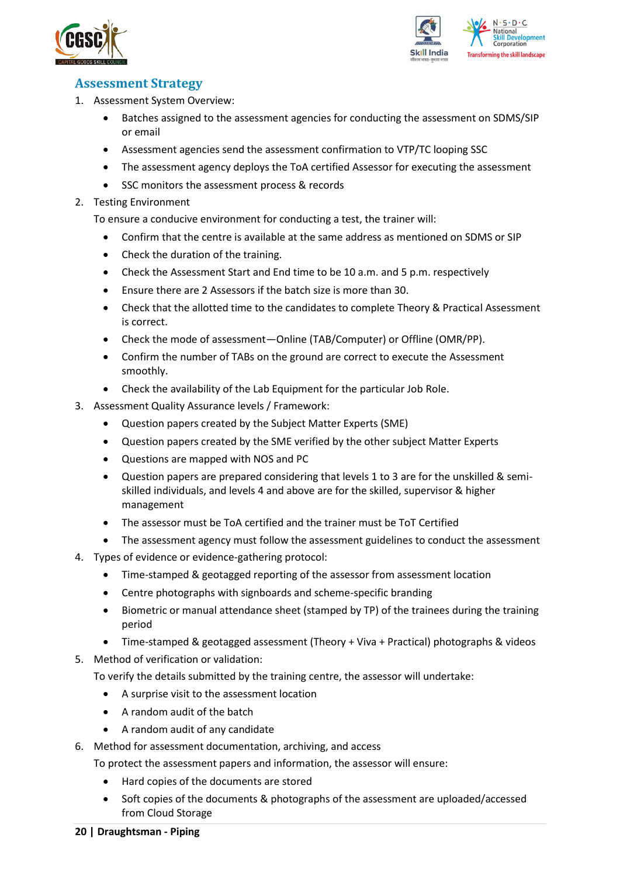



#### <span id="page-19-0"></span>**Assessment Strategy**

- 1. Assessment System Overview:
	- Batches assigned to the assessment agencies for conducting the assessment on SDMS/SIP or email
	- Assessment agencies send the assessment confirmation to VTP/TC looping SSC
	- The assessment agency deploys the ToA certified Assessor for executing the assessment
	- SSC monitors the assessment process & records
- 2. Testing Environment

To ensure a conducive environment for conducting a test, the trainer will:

- Confirm that the centre is available at the same address as mentioned on SDMS or SIP
- Check the duration of the training.
- Check the Assessment Start and End time to be 10 a.m. and 5 p.m. respectively
- Ensure there are 2 Assessors if the batch size is more than 30.
- Check that the allotted time to the candidates to complete Theory & Practical Assessment is correct.
- Check the mode of assessment—Online (TAB/Computer) or Offline (OMR/PP).
- Confirm the number of TABs on the ground are correct to execute the Assessment smoothly.
- Check the availability of the Lab Equipment for the particular Job Role.
- 3. Assessment Quality Assurance levels / Framework:
	- Question papers created by the Subject Matter Experts (SME)
	- Question papers created by the SME verified by the other subject Matter Experts
	- Questions are mapped with NOS and PC
	- Question papers are prepared considering that levels 1 to 3 are for the unskilled & semiskilled individuals, and levels 4 and above are for the skilled, supervisor & higher management
	- The assessor must be ToA certified and the trainer must be ToT Certified
	- The assessment agency must follow the assessment guidelines to conduct the assessment
- 4. Types of evidence or evidence-gathering protocol:
	- Time-stamped & geotagged reporting of the assessor from assessment location
	- Centre photographs with signboards and scheme-specific branding
	- Biometric or manual attendance sheet (stamped by TP) of the trainees during the training period
	- Time-stamped & geotagged assessment (Theory + Viva + Practical) photographs & videos
- 5. Method of verification or validation:

To verify the details submitted by the training centre, the assessor will undertake:

- A surprise visit to the assessment location
- A random audit of the batch
- A random audit of any candidate
- 6. Method for assessment documentation, archiving, and access
	- To protect the assessment papers and information, the assessor will ensure:
		- Hard copies of the documents are stored
		- Soft copies of the documents & photographs of the assessment are uploaded/accessed from Cloud Storage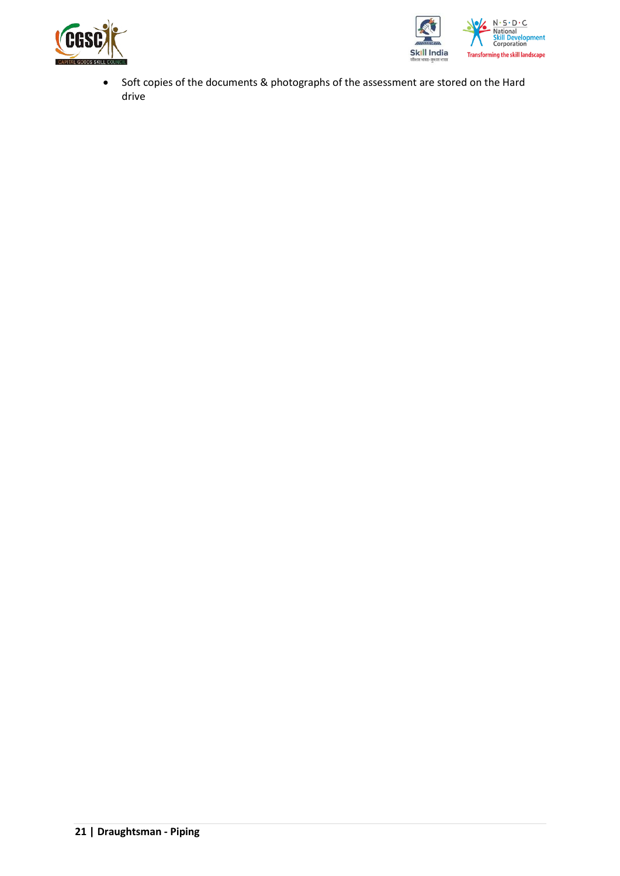



• Soft copies of the documents & photographs of the assessment are stored on the Hard drive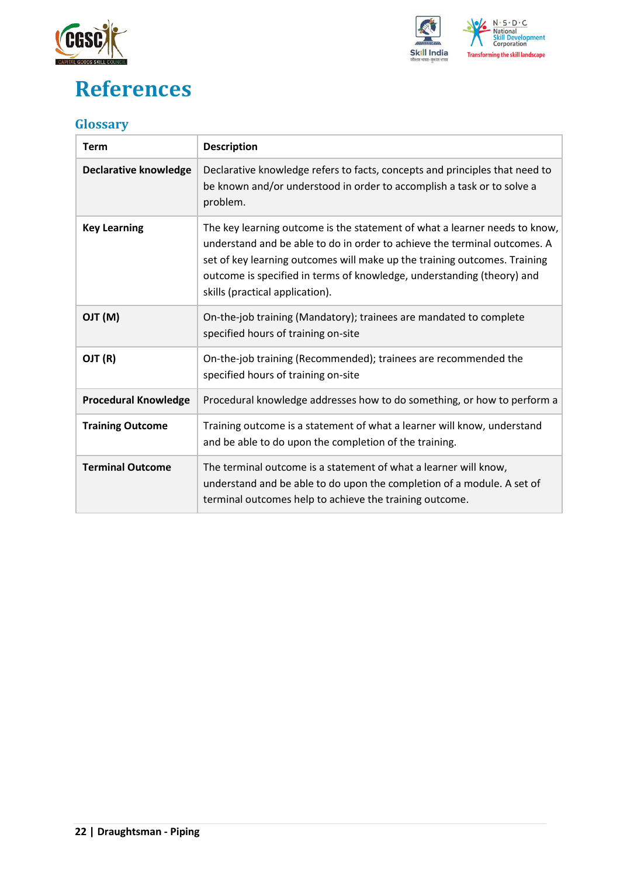

## <span id="page-21-0"></span>**References**



### <span id="page-21-1"></span>**Glossary**

| <b>Term</b>                  | <b>Description</b>                                                                                                                                                                                                                                                                                                                                |
|------------------------------|---------------------------------------------------------------------------------------------------------------------------------------------------------------------------------------------------------------------------------------------------------------------------------------------------------------------------------------------------|
| <b>Declarative knowledge</b> | Declarative knowledge refers to facts, concepts and principles that need to<br>be known and/or understood in order to accomplish a task or to solve a<br>problem.                                                                                                                                                                                 |
| <b>Key Learning</b>          | The key learning outcome is the statement of what a learner needs to know,<br>understand and be able to do in order to achieve the terminal outcomes. A<br>set of key learning outcomes will make up the training outcomes. Training<br>outcome is specified in terms of knowledge, understanding (theory) and<br>skills (practical application). |
| (M) TLO                      | On-the-job training (Mandatory); trainees are mandated to complete<br>specified hours of training on-site                                                                                                                                                                                                                                         |
| OJT (R)                      | On-the-job training (Recommended); trainees are recommended the<br>specified hours of training on-site                                                                                                                                                                                                                                            |
| <b>Procedural Knowledge</b>  | Procedural knowledge addresses how to do something, or how to perform a                                                                                                                                                                                                                                                                           |
| <b>Training Outcome</b>      | Training outcome is a statement of what a learner will know, understand<br>and be able to do upon the completion of the training.                                                                                                                                                                                                                 |
| <b>Terminal Outcome</b>      | The terminal outcome is a statement of what a learner will know,<br>understand and be able to do upon the completion of a module. A set of<br>terminal outcomes help to achieve the training outcome.                                                                                                                                             |